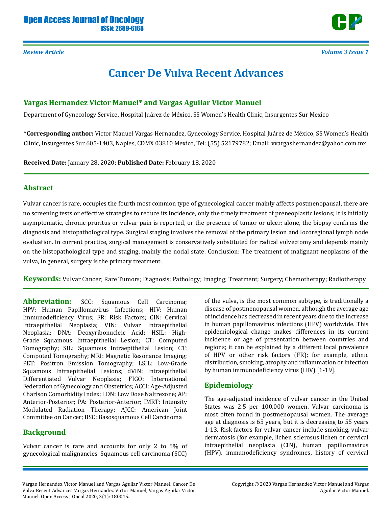

*Review Article Volume 3 Issue 1*

# **Cancer De Vulva Recent Advances**

# **Vargas Hernandez Victor Manuel\* and Vargas Aguilar Victor Manuel**

Department of Gynecology Service, Hospital Juárez de México, SS Women's Health Clinic, Insurgentes Sur Mexico

**\*Corresponding author:** Victor Manuel Vargas Hernandez, Gynecology Service, Hospital Juárez de México, SS Women's Health Clinic, Insurgentes Sur 605-1403, Naples, CDMX 03810 Mexico, Tel: (55) 52179782; Email: vvargashernandez@yahoo.com.mx

**Received Date:** January 28, 2020; **Published Date:** February 18, 2020

# **Abstract**

Vulvar cancer is rare, occupies the fourth most common type of gynecological cancer mainly affects postmenopausal, there are no screening tests or effective strategies to reduce its incidence, only the timely treatment of preneoplastic lesions; It is initially asymptomatic, chronic pruritus or vulvar pain is reported, or the presence of tumor or ulcer; alone, the biopsy confirms the diagnosis and histopathological type. Surgical staging involves the removal of the primary lesion and locoregional lymph node evaluation. In current practice, surgical management is conservatively substituted for radical vulvectomy and depends mainly on the histopathological type and staging, mainly the nodal state. Conclusion: The treatment of malignant neoplasms of the vulva, in general, surgery is the primary treatment.

**Keywords:** Vulvar Cancer; Rare Tumors; Diagnosis; Pathology; Imaging; Treatment; Surgery; Chemotherapy; Radiotherapy

**Abbreviation:** SCC: Squamous Cell Carcinoma; HPV: Human Papillomavirus Infections; HIV: Human Immunodeficiency Virus; FR: Risk Factors; CIN: Cervical Intraepithelial Neoplasia; VIN: Vulvar Intraepithelial Neoplasia; DNA: Deoxyribonucleic Acid; HSIL: High-Grade Squamous Intraepithelial Lesion; CT: Computed Tomography; SIL: Squamous Intraepithelial Lesion; CT: Computed Tomography; MRI: Magnetic Resonance Imaging; PET: Positron Emission Tomography; LSIL: Low-Grade Squamous Intraepithelial Lesions; dVIN: Intraepithelial Differentiated Vulvar Neoplasia; FIGO: International Federation of Gynecology and Obstetrics; ACCI: Age-Adjusted Charlson Comorbidity Index; LDN: Low Dose Naltrexone; AP: Anterior-Posterior; PA: Posterior-Anterior; IMRT: Intensity Modulated Radiation Therapy; AJCC: American Joint Committee on Cancer; BSC: Basosquamous Cell Carcinoma

# **Background**

Vulvar cancer is rare and accounts for only 2 to 5% of gynecological malignancies. Squamous cell carcinoma (SCC)

of the vulva, is the most common subtype, is traditionally a disease of postmenopausal women, although the average age of incidence has decreased in recent years due to the increase in human papillomavirus infections (HPV) worldwide. This epidemiological change makes differences in its current incidence or age of presentation between countries and regions; it can be explained by a different local prevalence of HPV or other risk factors (FR); for example, ethnic distribution, smoking, atrophy and inflammation or infection by human immunodeficiency virus (HIV) [1-19].

# **Epidemiology**

The age-adjusted incidence of vulvar cancer in the United States was 2.5 per 100,000 women. Vulvar carcinoma is most often found in postmenopausal women. The average age at diagnosis is 65 years, but it is decreasing to 55 years 1-13. Risk factors for vulvar cancer include smoking, vulvar dermatosis (for example, lichen sclerosus lichen or cervical intraepithelial neoplasia (CIN), human papillomavirus (HPV), immunodeficiency syndromes, history of cervical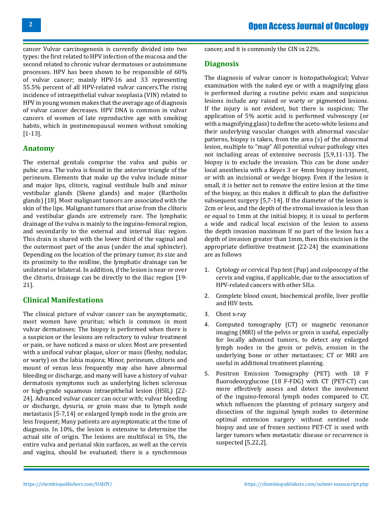cancer Vulvar carcinogenesis is currently divided into two types: the first related to HPV infection of the mucosa and the second related to chronic vulvar dermatoses or autoimmune processes. HPV has been shown to be responsible of 60% of vulvar cancer; mainly HPV-16 and 33 representing 55.5% percent of all HPV-related vulvar cancers.The rising incidence of intraepithelial vulvar neoplasia (VIN) related to HPV in young women makes that the average age of diagnosis of vulvar cancer decreases. HPV DNA is common in vulvar cancers of women of late reproductive age with smoking habits, which in postmenopausal women without smoking [1-13].

# **Anatomy**

The external genitals comprise the vulva and pubis or pubic area. The vulva is found in the anterior triangle of the perineum. Elements that make up the vulva include minor and major lips, clitoris, vaginal vestibule bulb and minor vestibular glands (Skene glands) and major (Bartholin glands) [18]. Most malignant tumors are associated with the skin of the lips. Malignant tumors that arise from the clítoris and vestibular glands are extremely rare. The lymphatic drainage of the vulva is mainly to the inguino-femoral region, and secondarily to the external and internal iliac region. This drain is shared with the lower third of the vaginal and the outermost part of the anus (under the anal sphincter). Depending on the location of the primary tumor, its size and its proximity to the midline, the lymphatic drainage can be unilateral or bilateral. In addition, if the lesion is near or over the clitoris, drainage can be directly to the iliac region [19- 21].

# **Clinical Manifestations**

The clinical picture of vulvar cancer can be asymptomatic, most women have pruritus; which is common in most vulvar dermatoses; The biopsy is performed when there is a suspicion or the lesions are refractory to vulvar treatment or pain, or have noticed a mass or ulcer. Most are presented with a unifocal vulvar plaque, ulcer or mass (fleshy, nodular, or warty) on the labia majora; Minor, perineum, clitoris and mount of venus less frequently may also have abnormal bleeding or discharge, and many will have a history of vulvar dermatosis symptoms such as underlying lichen sclerosus or high-grade squamous intraepithelial lesion (HSIL) [22- 24]. Advanced vulvar cancer can occur with; vulvar bleeding or discharge, dysuria, or groin mass due to lymph node metastasis [5-7,14] or enlarged lymph node in the groin are less frequent; Many patients are asymptomatic at the time of diagnosis. In 10%, the lesion is extensive to determine the actual site of origin. The lesions are multifocal in 5%, the entire vulva and perianal skin surfaces, as well as the cervix and vagina, should be evaluated; there is a synchronous cancer, and it is commonly the CIN in 22%.

### **Diagnosis**

The diagnosis of vulvar cancer is histopathological; Vulvar examination with the naked eye or with a magnifying glass is performed during a routine pelvic exam and suspicious lesions include any raised or warty or pigmented lesions. If the injury is not evident, but there is suspicion; The application of 5% acetic acid is performed vulvoscopy (or with a magnifying glass) to define the aceto-white lesions and their underlying vascular changes with abnormal vascular patterns, biopsy is taken, from the area (s) of the abnormal lesion, multiple to "map" All potential vulvar pathology sites not including areas of extensive necrosis [5,9,11-13]. The biopsy is to exclude the invasion. This can be done under local anesthesia with a Keyes 3 or 4mm biopsy instrument, or with an incisional or wedge biopsy. Even if the lesion is small, it is better not to remove the entire lesion at the time of the biopsy, as this makes it difficult to plan the definitive subsequent surgery [5,7-14]. If the diameter of the lesion is 2cm or less, and the depth of the stromal invasion is less than or equal to 1mm at the initial biopsy, it is usual to perform a wide and radical local excision of the lesion to assess the depth invasion maximum If no part of the lesion has a depth of invasion greater than 1mm, then this excision is the appropriate definitive treatment [22-24] the examinations are as follows

- 1. Cytology or cervical Pap test (Pap) and colposcopy of the cervix and vagina, if applicable, due to the association of HPV-related cancers with other SILs.
- 2. Complete blood count, biochemical profile, liver profile and HIV tests.
- 3. Chest x-ray
- 4. Computed tomography (CT) or magnetic resonance imaging (MRI) of the pelvis or groin is useful, especially for locally advanced tumors, to detect any enlarged lymph nodes in the groin or pelvis, erosion in the underlying bone or other metastases; CT or MRI are useful in additional treatment planning.
- 5. Positron Emission Tomography (PET) with 18 F fluorodeoxyglucose (18 F-FDG) with CT (PET-CT) can more effectively assess and detect the involvement of the inguino-femoral lymph nodes compared to CT, which influences the planning of primary surgery and dissection of the inguinal lymph nodes to determine optimal extension surgery without sentinel node biopsy and use of frozen sections PET-CT is used with larger tumors when metastatic disease or recurrence is suspected [5,22,2].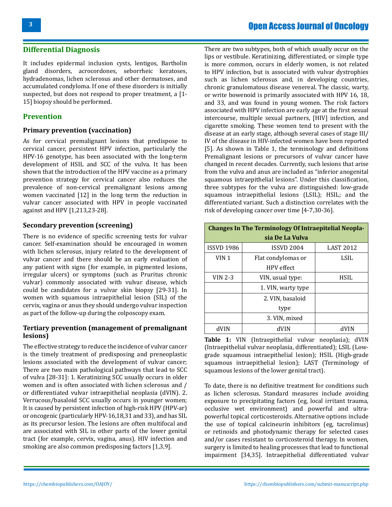### **Differential Diagnosis**

It includes epidermal inclusion cysts, lentigos, Bartholin gland disorders, acrocordones, seborrheic keratoses, hydradenomas, lichen sclerosus and other dermatoses, and accumulated condyloma. If one of these disorders is initially suspected, but does not respond to proper treatment, a [1- 15] biopsy should be performed.

### **Prevention**

### **Primary prevention (vaccination)**

As for cervical premalignant lesions that predispose to cervical cancer, persistent HPV infection, particularly the HPV-16 genotype, has been associated with the long-term development of HSIL and SCC of the vulva. It has been shown that the introduction of the HPV vaccine as a primary prevention strategy for cervical cancer also reduces the prevalence of non-cervical premalignant lesions among women vaccinated [12] in the long term the reduction in vulvar cancer associated with HPV in people vaccinated against and HPV [1,213,23-28].

### **Secondary prevention (screening)**

There is no evidence of specific screening tests for vulvar cancer. Self-examination should be encouraged in women with lichen sclerosus, injury related to the development of vulvar cancer and there should be an early evaluation of any patient with signs (for example, in pigmented lesions, irregular ulcers) or symptoms (such as Pruritus chronic vulvar) commonly associated with vulvar disease, which could be candidates for a vulvar skin biopsy [29-31]. In women with squamous intraepithelial lesion (SIL) of the cervix, vagina or anus they should undergo vulvar inspection as part of the follow-up during the colposcopy exam.

### **Tertiary prevention (management of premalignant lesions)**

The effective strategy to reduce the incidence of vulvar cancer is the timely treatment of predisposing and preneoplastic lesions associated with the development of vulvar cancer; There are two main pathological pathways that lead to SCC of vulva [28-31]: 1. Keratinizing SCC usually occurs in older women and is often associated with lichen sclerosus and / or differentiated vulvar intraepithelial neoplasia (dVIN). 2. Verrucous/basaloid SCC usually occurs in younger women; It is caused by persistent infection of high-risk HPV (HPV-ar) or oncogenic (particularly HPV-16,18,31 and 33), and has SIL as its precursor lesion. The lesions are often multifocal and are associated with SIL in other parts of the lower genital tract (for example, cervix, vagina, anus). HIV infection and smoking are also common predisposing factors [1,3,9].

There are two subtypes, both of which usually occur on the lips or vestibule. Keratinizing, differentiated, or simple type is more common, occurs in elderly women, is not related to HPV infection, but is associated with vulvar dystrophies such as lichen sclerosus and, in developing countries, chronic granulomatous disease venereal. The classic, warty, or write bowenoid is primarily associated with HPV 16, 18, and 33, and was found in young women. The risk factors associated with HPV infection are early age at the first sexual intercourse, multiple sexual partners, [HIV] infection, and cigarette smoking. These women tend to present with the disease at an early stage, although several cases of stage III/ IV of the disease in HIV-infected women have been reported [5]. As shown in Table 1, the terminology and definitions Premalignant lesions or precursors of vulvar cancer have changed in recent decades. Currently, such lesions that arise from the vulva and anus are included as "inferior anogenital squamous intraepithelial lesions". Under this classification, three subtypes for the vulva are distinguished: low-grade squamous intraepithelial lesions (LSIL); HSIL; and the differentiated variant. Such a distinction correlates with the risk of developing cancer over time [4-7,30-36].

| <b>Changes In The Terminology Of Intraepitelial Neopla-</b> |                    |                  |  |  |
|-------------------------------------------------------------|--------------------|------------------|--|--|
| sia De La Vulva                                             |                    |                  |  |  |
| <b>ISSVD 1986</b>                                           | <b>ISSVD 2004</b>  | <b>LAST 2012</b> |  |  |
| VIN <sub>1</sub>                                            | Flat condylomas or | LSIL             |  |  |
|                                                             | <b>HPV</b> effect  |                  |  |  |
| VIN 2-3                                                     | VIN, usual type:   | <b>HSIL</b>      |  |  |
|                                                             | 1. VIN, warty type |                  |  |  |
|                                                             | 2. VIN, basaloid   |                  |  |  |
|                                                             | type               |                  |  |  |
|                                                             | 3. VIN, mixed      |                  |  |  |
|                                                             |                    |                  |  |  |

**Table 1:** VIN (Intraepithelial vulvar neoplasia); dVIN (Intraepithelial vulvar neoplasia, differentiated); LSIL (Lowgrade squamous intraepithelial lesion); HSIL (High-grade squamous intraepithelial lesion); LAST (Terminology of squamous lesions of the lower genital tract).

To date, there is no definitive treatment for conditions such as lichen sclerosus. Standard measures include avoiding exposure to precipitating factors (eg, local irritant trauma, occlusive wet environment) and powerful and ultrapowerful topical corticosteroids. Alternative options include the use of topical calcineurin inhibitors (eg, tacrolimus) or retinoids and photodynamic therapy for selected cases and/or cases resistant to corticosteroid therapy. In women, surgery is limited to healing processes that lead to functional impairment [34,35]. Intraepithelial differentiated vulvar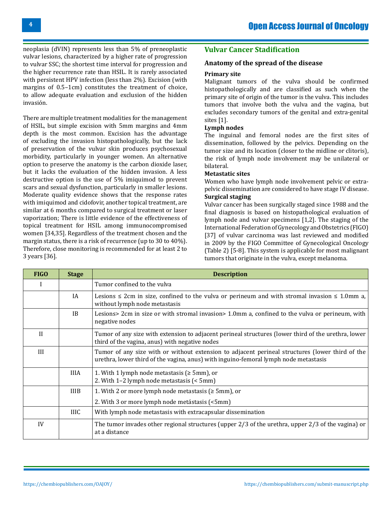neoplasia (dVIN) represents less than 5% of preneoplastic vulvar lesions, characterized by a higher rate of progression to vulvar SSC; the shortest time interval for progression and the higher recurrence rate than HSIL. It is rarely associated with persistent HPV infection (less than 2%). Excision (with margins of 0.5–1cm) constitutes the treatment of choice, to allow adequate evaluation and exclusion of the hidden invasión.

There are multiple treatment modalities for the management of HSIL, but simple excision with 5mm margins and 4mm depth is the most common. Excision has the advantage of excluding the invasion histopathologically, but the lack of preservation of the vulvar skin produces psychosexual morbidity, particularly in younger women. An alternative option to preserve the anatomy is the carbon dioxide laser, but it lacks the evaluation of the hidden invasion. A less destructive option is the use of 5% imiquimod to prevent scars and sexual dysfunction, particularly in smaller lesions. Moderate quality evidence shows that the response rates with imiquimod and cidofovir, another topical treatment, are similar at 6 months compared to surgical treatment or laser vaporization; There is little evidence of the effectiveness of topical treatment for HSIL among immunocompromised women [34,35]. Regardless of the treatment chosen and the margin status, there is a risk of recurrence (up to 30 to 40%). Therefore, close monitoring is recommended for at least 2 to 3 years [36].

# **Vulvar Cancer Stadification**

### **Anatomy of the spread of the disease**

### **Primary site**

Malignant tumors of the vulva should be confirmed histopathologically and are classified as such when the primary site of origin of the tumor is the vulva. This includes tumors that involve both the vulva and the vagina, but excludes secondary tumors of the genital and extra-genital sites [1].

### **Lymph nodes**

The inguinal and femoral nodes are the first sites of dissemination, followed by the pelvics. Depending on the tumor size and its location (closer to the midline or clitoris), the risk of lymph node involvement may be unilateral or bilateral.

### **Metastatic sites**

Women who have lymph node involvement pelvic or extrapelvic dissemination are considered to have stage IV disease. **Surgical staging**

Vulvar cancer has been surgically staged since 1988 and the final diagnosis is based on histopathological evaluation of lymph node and vulvar specimens [1,2]. The staging of the International Federation of Gynecology and Obstetrics (FIGO) [37] of vulvar carcinoma was last reviewed and modified in 2009 by the FIGO Committee of Gynecological Oncology (Table 2) [5-8]. This system is applicable for most malignant tumors that originate in the vulva, except melanoma.

| <b>FIGO</b>  | <b>Stage</b> | <b>Description</b>                                                                                                                                                                      |  |
|--------------|--------------|-----------------------------------------------------------------------------------------------------------------------------------------------------------------------------------------|--|
|              |              | Tumor confined to the vulva                                                                                                                                                             |  |
|              | <b>IA</b>    | Lesions $\leq$ 2cm in size, confined to the vulva or perineum and with stromal invasion $\leq$ 1.0mm a,<br>without lymph node metastasis                                                |  |
|              | IB           | Lesions> 2cm in size or with stromal invasion> 1.0mm a, confined to the vulva or perineum, with<br>negative nodes                                                                       |  |
| $\mathbf{I}$ |              | Tumor of any size with extension to adjacent perineal structures (lower third of the urethra, lower<br>third of the vagina, anus) with negative nodes                                   |  |
| III          |              | Tumor of any size with or without extension to adjacent perineal structures (lower third of the<br>urethra, lower third of the vagina, anus) with inguino-femoral lymph node metastasis |  |
|              | <b>IIIA</b>  | 1. With 1 lymph node metastasis ( $\geq 5$ mm), or<br>2. With 1-2 lymph node metastasis (< 5mm)                                                                                         |  |
|              | <b>IIIB</b>  | 1. With 2 or more lymph node metastasis ( $\geq 5$ mm), or                                                                                                                              |  |
|              |              | 2. With 3 or more lymph node metástasis (<5mm)                                                                                                                                          |  |
|              | <b>IIIC</b>  | With lymph node metastasis with extracapsular dissemination                                                                                                                             |  |
| IV           |              | The tumor invades other regional structures (upper $2/3$ of the urethra, upper $2/3$ of the vagina) or<br>at a distance                                                                 |  |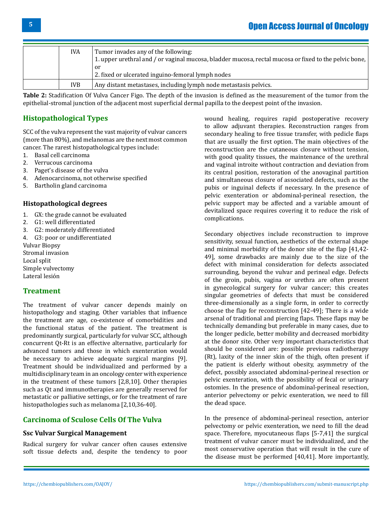| <b>IVA</b> | Tumor invades any of the following:<br>1. upper urethral and / or vaginal mucosa, bladder mucosa, rectal mucosa or fixed to the pelvic bone,  <br>or<br>2. fixed or ulcerated inguino-femoral lymph nodes |
|------------|-----------------------------------------------------------------------------------------------------------------------------------------------------------------------------------------------------------|
| IVB        | Any distant metastases, including lymph node metastasis pelvics.                                                                                                                                          |

**Table 2:** Stadification Of Vulva Cancer Figo. The depth of the invasion is defined as the measurement of the tumor from the epithelial-stromal junction of the adjacent most superficial dermal papilla to the deepest point of the invasion.

# **Histopathological Types**

SCC of the vulva represent the vast majority of vulvar cancers (more than 80%), and melanomas are the next most common cancer. The rarest histopathological types include:

- 1. Basal cell carcinoma<br>2. Verrucous carcinoma
- 2. Verrucous carcinoma
- 3. Paget's disease of the vulva
- 4. Adenocarcinoma, not otherwise specified<br>5. Bartholin gland carcinoma
- 5. Bartholin gland carcinoma

### **Histopathological degrees**

- 1. GX: the grade cannot be evaluated
- 2. G1: well differentiated
- 3. G2: moderately differentiated
- 4. G3: poor or undifferentiated

Vulvar Biopsy Stromal invasion Local split

Simple vulvectomy Lateral lesión

# **Treatment**

The treatment of vulvar cancer depends mainly on histopathology and staging. Other variables that influence the treatment are age, co-existence of comorbidities and the functional status of the patient. The treatment is predominantly surgical, particularly for vulvar SCC, although concurrent Qt-Rt is an effective alternative, particularly for advanced tumors and those in which exenteration would be necessary to achieve adequate surgical margins [9]. Treatment should be individualized and performed by a multidisciplinary team in an oncology center with experience in the treatment of these tumors [2,8,10]. Other therapies such as Qt and immunotherapies are generally reserved for metastatic or palliative settings, or for the treatment of rare histopathologies such as melanoma [2,10,36-40].

# **Carcinoma of Sculose Cells Of The Vulva**

### **Ssc Vulvar Surgical Management**

Radical surgery for vulvar cancer often causes extensive soft tissue defects and, despite the tendency to poor

wound healing, requires rapid postoperative recovery to allow adjuvant therapies. Reconstruction ranges from secondary healing to free tissue transfer, with pedicle flaps that are usually the first option. The main objectives of the reconstruction are the cutaneous closure without tension, with good quality tissues, the maintenance of the urethral and vaginal introite without contraction and deviation from its central position, restoration of the anovaginal partition and simultaneous closure of associated defects, such as the pubis or inguinal defects if necessary. In the presence of pelvic exenteration or abdominal-perineal resection, the pelvic support may be affected and a variable amount of devitalized space requires covering it to reduce the risk of complications.

Secondary objectives include reconstruction to improve sensitivity, sexual function, aesthetics of the external shape and minimal morbidity of the donor site of the flap [41,42- 49], some drawbacks are mainly due to the size of the defect with minimal consideration for defects associated surrounding, beyond the vulvar and perineal edge. Defects of the groin, pubis, vagina or urethra are often present in gynecological surgery for vulvar cancer; this creates singular geometries of defects that must be considered three-dimensionally as a single form, in order to correctly choose the flap for reconstruction [42-49]; There is a wide arsenal of traditional and piercing flaps. These flaps may be technically demanding but preferable in many cases, due to the longer pedicle, better mobility and decreased morbidity at the donor site. Other very important characteristics that should be considered are: possible previous radiotherapy (Rt), laxity of the inner skin of the thigh, often present if the patient is elderly without obesity, asymmetry of the defect, possibly associated abdominal-perineal resection or pelvic exenteration, with the possibility of fecal or urinary ostomies. In the presence of abdominal-perineal resection, anterior pelvectomy or pelvic exenteration, we need to fill the dead space.

In the presence of abdominal-perineal resection, anterior pelvectomy or pelvic exenteration, we need to fill the dead space. Therefore, myocutaneous flaps [5-7,41] the surgical treatment of vulvar cancer must be individualized, and the most conservative operation that will result in the cure of the disease must be performed [40,41]. More importantly,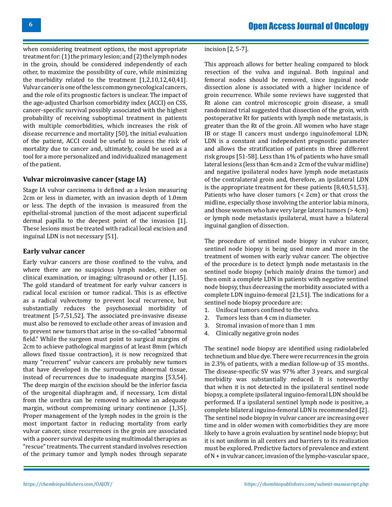when considering treatment options, the most appropriate treatment for: (1) the primary lesion; and (2) the lymph nodes in the groin, should be considered independently of each other, to maximize the possibility of cure, while minimizing the morbidity related to the treatment [1,2,10,12,40,41]. Vulvar cancer is one of the less common gynecological cancers, and the role of its prognostic factors is unclear. The impact of the age-adjusted Charlson comorbidity index (ACCI) on CSS, cancer-specific survival possibly associated with the highest probability of receiving suboptimal treatment in patients with multiple comorbidities, which increases the risk of disease recurrence and mortality [50], the initial evaluation of the patient, ACCI could be useful to assess the risk of mortality due to cancer and, ultimately, could be used as a tool for a more personalized and individualized management of the patient.

### **Vulvar microinvasive cancer (stage IA)**

Stage IA vulvar carcinoma is defined as a lesion measuring 2cm or less in diameter, with an invasion depth of 1.0mm or less. The depth of the invasion is measured from the epithelial-stromal junction of the most adjacent superficial dermal papilla to the deepest point of the invasion [1]. These lesions must be treated with radical local excision and inguinal LDN is not necessary [51].

#### **Early vulvar cancer**

Early vulvar cancers are those confined to the vulva, and where there are no suspicious lymph nodes, either on clinical examination, or imaging; ultrasound or other [1,15]. The gold standard of treatment for early vulvar cancers is radical local excision or tumor radical. This is as effective as a radical vulvectomy to prevent local recurrence, but substantially reduces the psychosexual morbidity of treatment [5-7,51,52]. The associated pre-invasive disease must also be removed to exclude other areas of invasion and to prevent new tumors that arise in the so-called "abnormal field." While the surgeon must point to surgical margins of 2cm to achieve pathological margins of at least 8mm (which allows fixed tissue contraction), it is now recognized that many "recurrent" vulvar cancers are probably new tumors that have developed in the surrounding abnormal tissue, instead of recurrences due to inadequate margins [53,54]. The deep margin of the excision should be the inferior fascia of the urogenital diaphragm and, if necessary, 1cm distal from the urethra can be removed to achieve an adequate margin, without compromising urinary continence [1,35]. Proper management of the lymph nodes in the groin is the most important factor in reducing mortality from early vulvar cancer, since recurrences in the groin are associated with a poorer survival despite using multimodal therapies as "rescue" treatments. The current standard involves resection of the primary tumor and lymph nodes through separate incision [2, 5-7].

This approach allows for better healing compared to block resection of the vulva and inguinal. Both inguinal and femoral nodes should be removed, since inguinal node dissection alone is associated with a higher incidence of groin recurrence. While some reviews have suggested that Rt alone can control microscopic groin disease, a small randomized trial suggested that dissection of the groin, with postoperative Rt for patients with lymph node metastasis, is greater than the Rt of the groin. All women who have stage IB or stage II cancers must undergo inguinofemoral LDN; LDN is a constant and independent prognostic parameter and allows the stratification of patients in three different risk groups [51-58]. Less than 1% of patients who have small lateral lesions (less than 4cm and ≥ 2cm of the vulvar midline) and negative ipsilateral nodes have lymph node metastasis of the contralateral groin and, therefore, an ipsilateral LDN is the appropriate treatment for these patients [8,40,51,53]. Patients who have closer tumors (< 2cm) or that cross the midline, especially those involving the anterior labia minora, and those women who have very large lateral tumors (> 4cm) or lymph node metastasis ipsilateral, must have a bilateral inguinal ganglion of dissection.

The procedure of sentinel node biopsy in vulvar cancer, sentinel node biopsy is being used more and more in the treatment of women with early vulvar cancer. The objective of the procedure is to detect lymph node metastasis in the sentinel node biopsy (which mainly drains the tumor) and then omit a complete LDN in patients with negative sentinel node biopsy, thus decreasing the morbidity associated with a complete LDN inguino-femoral [21,51]. The indications for a sentinel node biopsy procedure are:<br>1. Unifocal tumors confined to the

- 1. Unifocal tumors confined to the vulva.<br>2. Tumors less than 4 cm in diameter.
- 2. Tumors less than 4 cm in diameter.<br>3. Stromal invasion of more than 1 mr
- 3. Stromal invasion of more than 1 mm
- 4. Clinically negative groin nodes

The sentinel node biopsy are identified using radiolabeled technetium and blue dye. There were recurrences in the groin in 2.3% of patients, with a median follow-up of 35 months. The disease-specific SV was 97% after 3 years, and surgical morbidity was substantially reduced. It is noteworthy that when it is not detected in the ipsilateral sentinel node biopsy, a complete ipsilateral inguino-femoral LDN should be performed. If a ipsilateral sentinel lymph node is positive, a complete bilateral inguino-femoral LDN is recommended [2]. The sentinel node biopsy in vulvar cancer are increasing over time and in older women with comorbidities they are more likely to have a groin evaluation by sentinel node biopsy; but it is not uniform in all centers and barriers to its realization must be explored. Predictive factors of prevalence and extent of N + in vulvar cancer, invasion of the lympho-vascular space,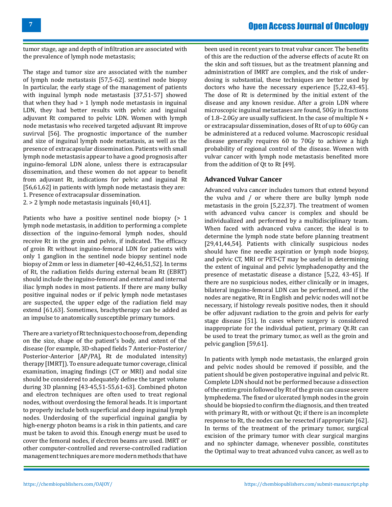# Open Access Journal of Oncology

tumor stage, age and depth of infiltration are associated with the prevalence of lymph node metastasis;

The stage and tumor size are associated with the number of lymph node metastasis [57,5-62]. sentinel node biopsy In particular, the early stage of the management of patients with inguinal lymph node metastasis [37,51-57] showed that when they had > 1 lymph node metastasis in inguinal LDN, they had better results with pelvic and inguinal adjuvant Rt compared to pelvic LDN. Women with lymph node metastasis who received targeted adjuvant Rt improve suvirval [56]. The prognostic importance of the number and size of inguinal lymph node metastasis, as well as the presence of extracapsular dissemination. Patients with small lymph node metastasis appear to have a good prognosis after inguino-femoral LDN alone, unless there is extracapsular dissemination, and these women do not appear to benefit from adjuvant Rt, indications for pelvic and inguinal Rt [56,61,62] in patients with lymph node metastasis they are: 1. Presence of extracapsular dissemination.

2. > 2 lymph node metastasis inguinals [40,41].

Patients who have a positive sentinel node biopsy (> 1 lymph node metastasis, in addition to performing a complete dissection of the inguino-femoral lymph nodes, should receive Rt in the groin and pelvis, if indicated. The efficacy of groin Rt without inguino-femoral LDN for patients with only 1 ganglion in the sentinel node biopsy sentinel node biopsy of 2mm or less in diameter [40-42,46,51,52]. In terms of Rt, the radiation fields during external beam Rt (EBRT) should include the inguino-femoral and external and internal iliac lymph nodes in most patients. If there are many bulky positive inguinal nodes or if pelvic lymph node metastases are suspected, the upper edge of the radiation field may extend [61,63]. Sometimes, brachytherapy can be added as an impulse to anatomically susceptible primary tumors.

There are a variety of Rt techniques to choose from, depending on the size, shape of the patient's body, and extent of the disease (for example, 3D-shaped fields 7 Anterior-Posterior/ Posterior-Anterior [AP/PA], Rt de modulated intensity) therapy [IMRT]). To ensure adequate tumor coverage, clinical examination, imaging findings (CT or MRI) and nodal size should be considered to adequately define the target volume during 3D planning [43-45,51-55,61-63]. Combined photon and electron techniques are often used to treat regional nodes, without overdosing the femoral heads. It is important to properly include both superficial and deep inguinal lymph nodes. Underdosing of the superficial inguinal ganglia by high-energy photon beams is a risk in thin patients, and care must be taken to avoid this. Enough energy must be used to cover the femoral nodes, if electron beams are used. IMRT or other computer-controlled and reverse-controlled radiation management techniques are more modern methods that have

been used in recent years to treat vulvar cancer. The benefits of this are the reduction of the adverse effects of acute Rt on the skin and soft tissues, but as the treatment planning and administration of IMRT are complex, and the risk of underdosing is substantial, these techniques are better used by doctors who have the necessary experience [5,22,43-45]. The dose of Rt is determined by the initial extent of the disease and any known residue. After a groin LDN where microscopic inguinal metastases are found, 50Gy in fractions of 1.8–2.0Gy are usually sufficient. In the case of multiple N + or extracapsular dissemination, doses of Rt of up to 60Gy can be administered at a reduced volume. Macroscopic residual disease generally requires 60 to 70Gy to achieve a high probability of regional control of the disease. Women with vulvar cancer with lymph node metastasis benefited more from the addition of Qt to Rt [49].

### **Advanced Vulvar Cancer**

Advanced vulva cancer includes tumors that extend beyond the vulva and / or where there are bulky lymph node metastasis in the groin [5,22,37]. The treatment of women with advanced vulva cancer is complex and should be individualized and performed by a multidisciplinary team. When faced with advanced vulva cancer, the ideal is to determine the lymph node state before planning treatment [29,41,44,54]. Patients with clinically suspicious nodes should have fine needle aspiration or lymph node biopsy, and pelvic CT, MRI or PET-CT may be useful in determining the extent of inguinal and pelvic lymphadenopathy and the presence of metastatic disease a distance [5,22, 43-45]. If there are no suspicious nodes, either clinically or in images, bilateral inguino-femoral LDN can be performed, and if the nodes are negative, Rt in English and pelvic nodes will not be necessary, if histology reveals positive nodes, then it should be offer adjuvant radiation to the groin and pelvis for early stage disease [51]. In cases where surgery is considered inappropriate for the individual patient, primary Qt.Rt can be used to treat the primary tumor, as well as the groin and pelvic ganglion [59,61].

In patients with lymph node metastasis, the enlarged groin and pelvic nodes should be removed if possible, and the patient should be given postoperative inguinal and pelvic Rt. Complete LDN should not be performed because a dissection of the entire groin followed by Rt of the groin can cause severe lymphedema. The fixed or ulcerated lymph nodes in the groin should be biopsied to confirm the diagnosis, and then treated with primary Rt, with or without Qt; if there is an incomplete response to Rt, the nodes can be resected if appropriate [62]. In terms of the treatment of the primary tumor, surgical excision of the primary tumor with clear surgical margins and no sphincter damage, whenever possible, constitutes the Optimal way to treat advanced vulva cancer, as well as to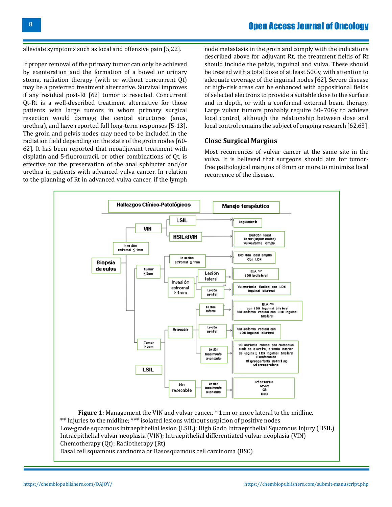# Open Access Journal of Oncology

alleviate symptoms such as local and offensive pain [5,22].

If proper removal of the primary tumor can only be achieved by exenteration and the formation of a bowel or urinary stoma, radiation therapy (with or without concurrent Qt) may be a preferred treatment alternative. Survival improves if any residual post-Rt [62] tumor is resected. Concurrent Qt-Rt is a well-described treatment alternative for those patients with large tumors in whom primary surgical resection would damage the central structures (anus, urethra), and have reported full long-term responses [5-13]. The groin and pelvis nodes may need to be included in the radiation field depending on the state of the groin nodes [60- 62]. It has been reported that neoadjuvant treatment with cisplatin and 5-fluorouracil, or other combinations of Qt, is effective for the preservation of the anal sphincter and/or urethra in patients with advanced vulva cancer. In relation to the planning of Rt in advanced vulva cancer, if the lymph

node metastasis in the groin and comply with the indications described above for adjuvant Rt, the treatment fields of Rt should include the pelvis, inguinal and vulva. These should be treated with a total dose of at least 50Gy, with attention to adequate coverage of the inguinal nodes [62]. Severe disease or high-risk areas can be enhanced with appositional fields of selected electrons to provide a suitable dose to the surface and in depth, or with a conformal external beam therapy. Large vulvar tumors probably require 60–70Gy to achieve local control, although the relationship between dose and local control remains the subject of ongoing research [62,63].

### **Close Surgical Margins**

Most recurrences of vulvar cancer at the same site in the vulva. It is believed that surgeons should aim for tumorfree pathological margins of 8mm or more to minimize local recurrence of the disease.



Intraepithelial vulvar neoplasia (VIN); Intraepithelial differentiated vulvar neoplasia (VIN) Chemotherapy (Qt); Radiotherapy (Rt)

Basal cell squamous carcinoma or Basosquamous cell carcinoma (BSC)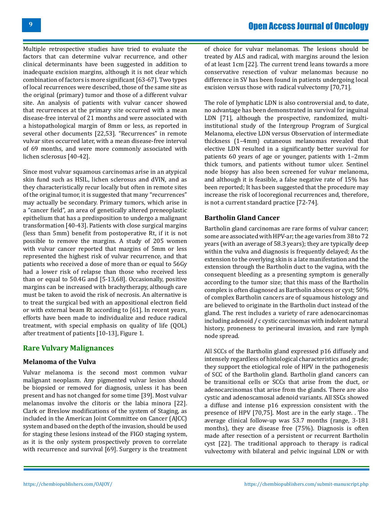Multiple retrospective studies have tried to evaluate the factors that can determine vulvar recurrence, and other clinical determinants have been suggested in addition to inadequate excision margins, although it is not clear which combination of factors is more significant [63-67]. Two types of local recurrences were described, those of the same site as the original (primary) tumor and those of a different vulvar site. An analysis of patients with vulvar cancer showed that recurrences at the primary site occurred with a mean disease-free interval of 21 months and were associated with a histopathological margin of 8mm or less, as reported in several other documents [22,53]. "Recurrences" in remote vulvar sites occurred later, with a mean disease-free interval of 69 months, and were more commonly associated with lichen sclerosus [40-42].

Since most vulvar squamous carcinomas arise in an atypical skin fund such as HSIL, lichen sclerosus and dVIN, and as they characteristically recur locally but often in remote sites of the original tumor, it is suggested that many "recurrences" may actually be secondary. Primary tumors, which arise in a "cancer field", an area of genetically altered preneoplastic epithelium that has a predisposition to undergo a malignant transformation [40-43]. Patients with close surgical margins (less than 5mm) benefit from postoperative Rt, if it is not possible to remove the margins. A study of 205 women with vulvar cancer reported that margins of 5mm or less represented the highest risk of vulvar recurrence, and that patients who received a dose of more than or equal to 56Gy had a lower risk of relapse than those who received less than or equal to 50.4G and [5-13,68]. Occasionally, positive margins can be increased with brachytherapy, although care must be taken to avoid the risk of necrosis. An alternative is to treat the surgical bed with an appositional electron field or with external beam Rt according to [61]. In recent years, efforts have been made to individualize and reduce radical treatment, with special emphasis on quality of life (QOL) after treatment of patients [10-13], Figure 1.

# **Rare Vulvary Malignances**

### **Melanoma of the Vulva**

Vulvar melanoma is the second most common vulvar malignant neoplasm. Any pigmented vulvar lesion should be biopsied or removed for diagnosis, unless it has been present and has not changed for some time [39]. Most vulvar melanomas involve the clitoris or the labia minora [22]. Clark or Breslow modifications of the system of Staging, as included in the American Joint Committee on Cancer (AJCC) system and based on the depth of the invasion, should be used for staging these lesions instead of the FIGO staging system, as it is the only system prospectively proven to correlate with recurrence and survival [69]. Surgery is the treatment

of choice for vulvar melanomas. The lesions should be treated by ALS and radical, with margins around the lesion of at least 1cm [22]. The current trend leans towards a more conservative resection of vulvar melanomas because no difference in SV has been found in patients undergoing local excision versus those with radical vulvectomy [70,71].

The role of lymphatic LDN is also controversial and, to date, no advantage has been demonstrated in survival for inguinal LDN [71], although the prospective, randomized, multiinstitutional study of the Intergroup Program of Surgical Melanoma, elective LDN versus Observation of intermediate thickness (1–4mm) cutaneous melanomas revealed that elective LDN resulted in a significantly better survival for patients 60 years of age or younger, patients with 1–2mm thick tumors, and patients without tumor ulcer. Sentinel node biopsy has also been screened for vulvar melanoma, and although it is feasible, a false negative rate of 15% has been reported; It has been suggested that the procedure may increase the risk of locoregional recurrences and, therefore, is not a current standard practice [72-74].

#### **Bartholin Gland Cancer**

Bartholin gland carcinomas are rare forms of vulvar cancer; some are associated with HPV-ar; the age varies from 38 to 72 years (with an average of 58.3 years); they are typically deep within the vulva and diagnosis is frequently delayed; As the extension to the overlying skin is a late manifestation and the extension through the Bartholin duct to the vagina, with the consequent bleeding as a presenting symptom is generally according to the tumor size; that this mass of the Bartholin complex is often diagnosed as Bartholin abscess or cyst; 50% of complex Bartholin cancers are of squamous histology and are believed to originate in the Bartholin duct instead of the gland. The rest includes a variety of rare adenocarcinomas including adenoid / c cystic carcinomas with indolent natural history, proneness to perineural invasion, and rare lymph node spread.

All SCCs of the Bartholin gland expressed p16 diffusely and intensely regardless of histological characteristics and grade; they support the etiological role of HPV in the pathogenesis of SCC of the Bartholin gland. Bartholin gland cancers can be transitional cells or SCCs that arise from the duct, or adenocarcinomas that arise from the glands. There are also cystic and adenoscamosal adenoid variants. All SSCs showed a diffuse and intense p16 expression consistent with the presence of HPV [70,75]. Most are in the early stage. . The average clinical follow-up was 53.7 months (range, 3-181 months), they are disease free (75%). Diagnosis is often made after resection of a persistent or recurrent Bartholin cyst [22]. The traditional approach to therapy is radical vulvectomy with bilateral and pelvic inguinal LDN or with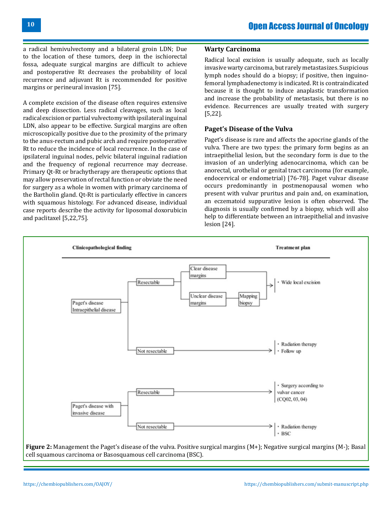a radical hemivulvectomy and a bilateral groin LDN; Due to the location of these tumors, deep in the ischiorectal fossa, adequate surgical margins are difficult to achieve and postoperative Rt decreases the probability of local recurrence and adjuvant Rt is recommended for positive margins or perineural invasion [75].

A complete excision of the disease often requires extensive and deep dissection. Less radical cleavages, such as local radical excision or partial vulvectomy with ipsilateral inguinal LDN, also appear to be effective. Surgical margins are often microscopically positive due to the proximity of the primary to the anus-rectum and pubic arch and require postoperative Rt to reduce the incidence of local recurrence. In the case of ipsilateral inguinal nodes, pelvic bilateral inguinal radiation and the frequency of regional recurrence may decrease. Primary Qt-Rt or brachytherapy are therapeutic options that may allow preservation of rectal function or obviate the need for surgery as a whole in women with primary carcinoma of the Bartholin gland. Qt-Rt is particularly effective in cancers with squamous histology. For advanced disease, individual case reports describe the activity for liposomal doxorubicin and paclitaxel [5,22,75].

### **Warty Carcinoma**

Radical local excision is usually adequate, such as locally invasive warty carcinoma, but rarely metastasizes. Suspicious lymph nodes should do a biopsy; if positive, then inguinofemoral lymphadenectomy is indicated. Rt is contraindicated because it is thought to induce anaplastic transformation and increase the probability of metastasis, but there is no evidence. Recurrences are usually treated with surgery [5,22].

### **Paget's Disease of the Vulva**

Paget's disease is rare and affects the apocrine glands of the vulva. There are two types: the primary form begins as an intraepithelial lesion, but the secondary form is due to the invasion of an underlying adenocarcinoma, which can be anorectal, urothelial or genital tract carcinoma (for example, endocervical or endometrial) [76-78]. Paget vulvar disease occurs predominantly in postmenopausal women who present with vulvar pruritus and pain and, on examination, an eczematoid suppurative lesion is often observed. The diagnosis is usually confirmed by a biopsy, which will also help to differentiate between an intraepithelial and invasive lesion [24].

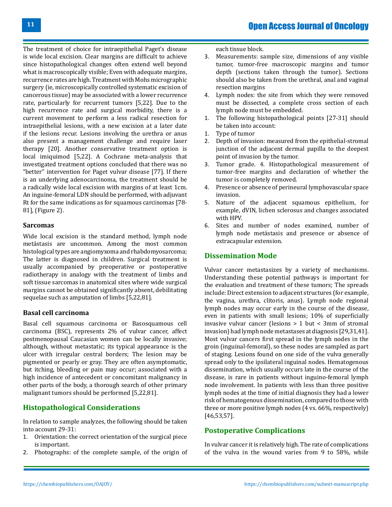The treatment of choice for intraepithelial Paget's disease is wide local excision. Clear margins are difficult to achieve since histopathological changes often extend well beyond what is macroscopically visible; Even with adequate margins, recurrence rates are high. Treatment with Mohs micrographic surgery (ie, microscopically controlled systematic excision of cancerous tissue) may be associated with a lower recurrence rate, particularly for recurrent tumors [5,22]. Due to the high recurrence rate and surgical morbidity, there is a current movement to perform a less radical resection for intraepithelial lesions, with a new excision at a later date if the lesions recur. Lesions involving the urethra or anus also present a management challenge and require laser therapy [20]. Another conservative treatment option is local imiquimod [5,22]. A Cochrane meta-analysis that investigated treatment options concluded that there was no "better" intervention for Paget vulvar disease [77]. If there is an underlying adenocarcinoma, the treatment should be a radically wide local excision with margins of at least 1cm. An inguine-femoral LDN should be performed, with adjuvant Rt for the same indications as for squamous carcinomas [78- 81], (Figure 2).

### **Sarcomas**

Wide local excision is the standard method, lymph node metástasis are uncommon. Among the most common histological types are angiomyxoma and rhabdomyosarcoma; The latter is diagnosed in children. Surgical treatment is usually accompanied by preoperative or postoperative radiotherapy in analogy with the treatment of limbs and soft tissue sarcomas in anatomical sites where wide surgical margins cannot be obtained significantly absent, debilitating sequelae such as amputation of limbs [5,22,81].

### **Basal cell carcinoma**

Basal cell squamous carcinoma or Basosquamous cell carcinoma (BSC), represents 2% of vulvar cancer, affect postmenopausal Caucasian women can be locally invasive; although, without metastatic; its typical appearance is the ulcer with irregular central borders; The lesion may be pigmented or pearly or gray. They are often asymptomatic, but itching, bleeding or pain may occur; associated with a high incidence of antecedent or concomitant malignancy in other parts of the body, a thorough search of other primary malignant tumors should be performed [5,22,81].

# **Histopathological Considerations**

In relation to sample analyzes, the following should be taken into account 29-31:

- 1. Orientation: the correct orientation of the surgical piece is important.
- 2. Photographs: of the complete sample, of the origin of

each tissue block.

- 3. Measurements: sample size, dimensions of any visible tumor, tumor-free macroscopic margins and tumor depth (sections taken through the tumor). Sections should also be taken from the urethral, anal and vaginal resection margins
- 4. Lymph nodes: the site from which they were removed must be dissected, a complete cross section of each lymph node must be embedded.
- 1. The following histopathological points [27-31] should be taken into account:
- 1. Type of tumor
- 2. Depth of invasion: measured from the epithelial-stromal junction of the adjacent dermal papilla to the deepest point of invasion by the tumor.
- 3. Tumor grade. 4. Histopathological measurement of tumor-free margins and declaration of whether the tumor is completely removed.
- 4. Presence or absence of perineural lymphovascular space invasion.
- 5. Nature of the adjacent squamous epithelium, for example, dVIN, lichen sclerosus and changes associated with HPV.
- 6. Sites and number of nodes examined, number of lymph node metástasis and presence or absence of extracapsular extension.

# **Dissemination Mode**

Vulvar cancer metastasizes by a variety of mechanisms. Understanding these potential pathways is important for the evaluation and treatment of these tumors; The spreads include: Direct extension to adjacent structures (for example, the vagina, urethra, clitoris, anus). Lymph node regional lymph nodes may occur early in the course of the disease, even in patients with small lesions; 10% of superficially invasive vulvar cancer (lesions > 1 but < 3mm of stromal invasion) had lymph node metastases at diagnosis [29,31,41]. Most vulvar cancers first spread in the lymph nodes in the groin (inguinal-femoral), so these nodes are sampled as part of staging. Lesions found on one side of the vulva generally spread only to the ipsilateral inguinal nodes. Hematogenous dissemination, which usually occurs late in the course of the disease, is rare in patients without inguino-femoral lymph node involvement. In patients with less than three positive lymph nodes at the time of initial diagnosis they had a lower risk of hematogenous dissemination, compared to those with three or more positive lymph nodes (4 vs. 66%, respectively) [46,53,57].

# **Postoperative Complications**

In vulvar cancer it is relatively high. The rate of complications of the vulva in the wound varies from 9 to 58%, while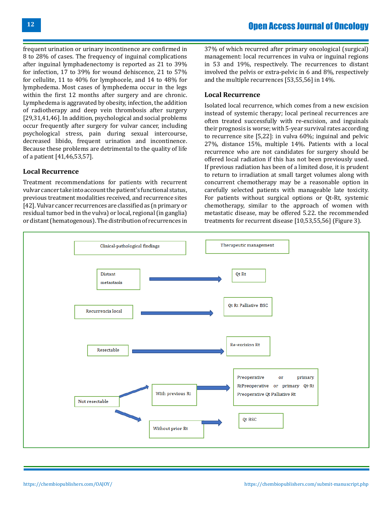frequent urination or urinary incontinence are confirmed in 8 to 28% of cases. The frequency of inguinal complications after inguinal lymphadenectomy is reported as 21 to 39% for infection, 17 to 39% for wound dehiscence, 21 to 57% for cellulite, 11 to 40% for lymphocele, and 14 to 48% for lymphedema. Most cases of lymphedema occur in the legs within the first 12 months after surgery and are chronic. Lymphedema is aggravated by obesity, infection, the addition of radiotherapy and deep vein thrombosis after surgery [29,31,41,46]. In addition, psychological and social problems occur frequently after surgery for vulvar cancer, including psychological stress, pain during sexual intercourse, decreased libido, frequent urination and incontinence. Because these problems are detrimental to the quality of life of a patient [41,46,53,57].

### **Local Recurrence**

Treatment recommendations for patients with recurrent vulvar cancer take into account the patient's functional status, previous treatment modalities received, and recurrence sites [42]. Vulvar cancer recurrences are classified as (n primary or residual tumor bed in the vulva) or local, regional (in ganglia) or distant (hematogenous). The distribution of recurrences in

37% of which recurred after primary oncological (surgical) management: local recurrences in vulva or inguinal regions in 53 and 19%, respectively. The recurrences to distant involved the pelvis or extra-pelvic in 6 and 8%, respectively and the multiple recurrences [53,55,56] in 14%.

### **Local Recurrence**

Isolated local recurrence, which comes from a new excision instead of systemic therapy; local perineal recurrences are often treated successfully with re-excision, and inguinals their prognosis is worse; with 5-year survival rates according to recurrence site [5,22]: in vulva 60%; inguinal and pelvic 27%, distance 15%, multiple 14%. Patients with a local recurrence who are not candidates for surgery should be offered local radiation if this has not been previously used. If previous radiation has been of a limited dose, it is prudent to return to irradiation at small target volumes along with concurrent chemotherapy may be a reasonable option in carefully selected patients with manageable late toxicity. For patients without surgical options or Qt-Rt, systemic chemotherapy, similar to the approach of women with metastatic disease, may be offered 5.22. the recommended treatments for recurrent disease [10,53,55,56] (Figure 3).

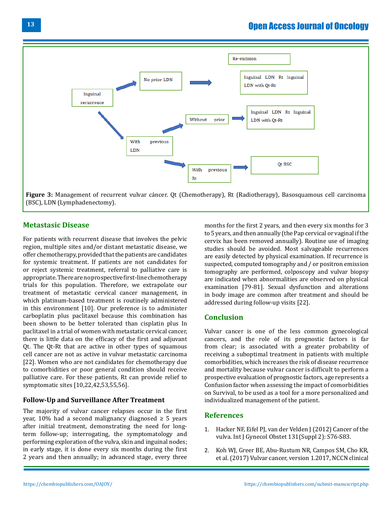

**Figure 3:** Management of recurrent vulvar cáncer. Qt (Chemotherapy), Rt (Radiotherapy), Basosquamous cell carcinoma (BSC), LDN (Lymphadenectomy).

## **Metastasic Disease**

For patients with recurrent disease that involves the pelvic region, multiple sites and/or distant metastatic disease, we offer chemotherapy, provided that the patients are candidates for systemic treatment. If patients are not candidates for or reject systemic treatment, referral to palliative care is appropriate. There are no prospective first-line chemotherapy trials for this population. Therefore, we extrapolate our treatment of metastatic cervical cancer management, in which platinum-based treatment is routinely administered in this environment [10]. Our preference is to administer carboplatin plus paclitaxel because this combination has been shown to be better tolerated than cisplatin plus In paclitaxel in a trial of women with metastatic cervical cancer, there is little data on the efficacy of the first and adjuvant Qt. The Qt-Rt that are active in other types of squamous cell cancer are not as active in vulvar metastatic carcinoma [22]. Women who are not candidates for chemotherapy due to comorbidities or poor general condition should receive palliative care. For these patients, Rt can provide relief to symptomatic sites [10,22,42,53,55,56].

### **Follow-Up and Surveillance After Treatment**

The majority of vulvar cancer relapses occur in the first year, 10% had a second malignancy diagnosed  $\geq$  5 years after initial treatment, demonstrating the need for longterm follow-up; interrogating, the symptomatology and performing exploration of the vulva, skin and inguinal nodes; in early stage, it is done every six months during the first 2 years and then annually; in advanced stage, every three

months for the first 2 years, and then every six months for 3 to 5 years, and then annually (the Pap cervical or vaginal if the cervix has been removed annually). Routine use of imaging studies should be avoided. Most salvageable recurrences are easily detected by physical examination. If recurrence is suspected, computed tomography and / or positron emission tomography are performed, colposcopy and vulvar biopsy are indicated when abnormalities are observed on physical examination [79-81]. Sexual dysfunction and alterations in body image are common after treatment and should be addressed during follow-up visits [22].

### **Conclusion**

Vulvar cancer is one of the less common gynecological cancers, and the role of its prognostic factors is far from clear; is associated with a greater probability of receiving a suboptimal treatment in patients with multiple comorbidities, which increases the risk of disease recurrence and mortality because vulvar cancer is difficult to perform a prospective evaluation of prognostic factors, age represents a Confusion factor when assessing the impact of comorbidities on Survival, to be used as a tool for a more personalized and individualized management of the patient.

### **References**

- 1. [Hacker NF, Eifel PJ, van der Velden J \(2012\) Cancer of the](https://www.ncbi.nlm.nih.gov/pubmed/22999509) [vulva. Int J Gynecol Obstet 131\(Suppl 2\): S76-S83.](https://www.ncbi.nlm.nih.gov/pubmed/22999509)
- 2. [Koh WJ, Greer BE, Abu-Rustum NR, Campos SM, Cho KR,](https://www.ncbi.nlm.nih.gov/pubmed/28040721)  [et al. \(2017\) Vulvar cancer, version 1.2017, NCCN clinical](https://www.ncbi.nlm.nih.gov/pubmed/28040721)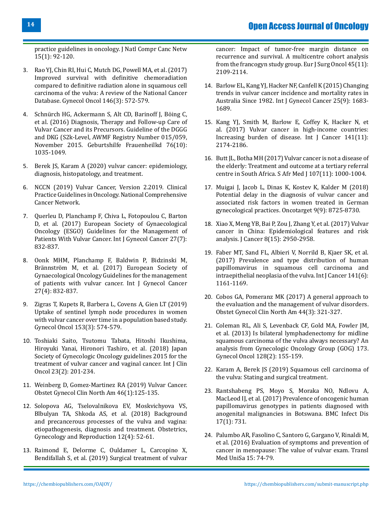[practice guidelines in oncology. J Natl Compr Canc Netw](https://www.ncbi.nlm.nih.gov/pubmed/28040721) [15\(1\): 92-120.](https://www.ncbi.nlm.nih.gov/pubmed/28040721)

- 3. [Rao YJ, Chin RI, Hui C, Mutch DG, Powell MA, et al. \(2017\)](https://www.ncbi.nlm.nih.gov/pubmed/28662775) [Improved survival with definitive chemoradiation](https://www.ncbi.nlm.nih.gov/pubmed/28662775) [compared to definitive radiation alone in squamous cell](https://www.ncbi.nlm.nih.gov/pubmed/28662775) [carcinoma of the vulva: A review of the National Cancer](https://www.ncbi.nlm.nih.gov/pubmed/28662775) [Database. Gynecol Oncol 146\(3\): 572-579.](https://www.ncbi.nlm.nih.gov/pubmed/28662775)
- 4. [Schnürch HG, Ackermann S, Alt CD, Barinoff J, Böing C,](https://www.ncbi.nlm.nih.gov/pubmed/27765958) [et al. \(2016\) Diagnosis, Therapy and Follow-up Care of](https://www.ncbi.nlm.nih.gov/pubmed/27765958) [Vulvar Cancer and its Precursors. Guideline of the DGGG](https://www.ncbi.nlm.nih.gov/pubmed/27765958) [and DKG \(S2k-Level, AWMF Registry Number 015/059,](https://www.ncbi.nlm.nih.gov/pubmed/27765958) [November 2015. Geburtshilfe Frauenheilkd 76\(10\):](https://www.ncbi.nlm.nih.gov/pubmed/27765958) [1035-1049.](https://www.ncbi.nlm.nih.gov/pubmed/27765958)
- 5. [Berek JS, Karam A \(2020\) vulvar cancer: epidemiology,](https://www.uptodate.com/contents/vulvar-cancer-epidemiology-diagnosis-histopathology-and-treatment) [diagnosis, histopatology, and treatment.](https://www.uptodate.com/contents/vulvar-cancer-epidemiology-diagnosis-histopathology-and-treatment)
- 6. [NCCN \(2019\) Vulvar Cancer, Version 2.2019. Clinical](https://www.nccn.org/professionals/) [Practice Guidelines in Oncology. National Comprehensive](https://www.nccn.org/professionals/) [Cancer Network.](https://www.nccn.org/professionals/)
- 7. [Querleu D, Planchamp F, Chiva L, Fotopoulou C, Barton](https://www.ncbi.nlm.nih.gov/pubmed/30814245) [D, et al. \(2017\) European Society of Gynaecological](https://www.ncbi.nlm.nih.gov/pubmed/30814245) [Oncology \(ESGO\) Guidelines for the Management of](https://www.ncbi.nlm.nih.gov/pubmed/30814245) [Patients With Vulvar Cancer. Int J Gynecol Cancer 27\(7\):](https://www.ncbi.nlm.nih.gov/pubmed/30814245) [832-837.](https://www.ncbi.nlm.nih.gov/pubmed/30814245)
- 8. [Oonk MHM, Planchamp F, Baldwin P, Bidzinski M,](https://www.ncbi.nlm.nih.gov/pubmed/28441255) [Brännström M, et al. \(2017\) European Society of](https://www.ncbi.nlm.nih.gov/pubmed/28441255) [Gynaecological Oncology Guidelines for the management](https://www.ncbi.nlm.nih.gov/pubmed/28441255) [of patients with vulvar cancer. Int J Gynecol Cancer](https://www.ncbi.nlm.nih.gov/pubmed/28441255) [27\(4\): 832-837.](https://www.ncbi.nlm.nih.gov/pubmed/28441255)
- 9. Zigras T, [Kupets R, Barbera L, Covens A, Gien LT \(2019\)](https://www.ncbi.nlm.nih.gov/pubmed/30876675) [Uptake of sentinel lymph node procedures in women](https://www.ncbi.nlm.nih.gov/pubmed/30876675) with vulvar cancer [over time in a population based study.](https://www.ncbi.nlm.nih.gov/pubmed/30876675) [Gynecol Oncol 153\(3\): 574-579.](https://www.ncbi.nlm.nih.gov/pubmed/30876675)
- 10. [Toshiaki Saito, Tsutomu Tabata, Hitoshi Ikushima,](https://link.springer.com/article/10.1007/s10147-017-1193-z) [Hiroyuki Yanai, Hironori Tashiro, et al. \(2018\) Japan](https://link.springer.com/article/10.1007/s10147-017-1193-z) [Society of Gynecologic Oncology guidelines 2015 for the](https://link.springer.com/article/10.1007/s10147-017-1193-z) [treatment of vulvar cancer and vaginal cancer. Int J Clin](https://link.springer.com/article/10.1007/s10147-017-1193-z) [Oncol 23\(2\): 201-234.](https://link.springer.com/article/10.1007/s10147-017-1193-z)
- 11. [Weinberg D, Gomez-Martinez RA \(2019\) Vulvar Cancer.](https://www.ncbi.nlm.nih.gov/pubmed/30683259) [Obstet Gynecol Clin North Am 46\(1\):125-135.](https://www.ncbi.nlm.nih.gov/pubmed/30683259)
- 12. [Solopova AG, Tselovalnikova EV, Moskvichyova VS,](https://www.gynecology.su/jour/article/view/535?locale=en_US) [Blbulyan TA, Shkoda AS, et al. \(2018\) Background](https://www.gynecology.su/jour/article/view/535?locale=en_US) [and precancerous processes of the vulva and vagina:](https://www.gynecology.su/jour/article/view/535?locale=en_US) [etiopathogenesis, diagnosis and treatment. Obstetrics,](https://www.gynecology.su/jour/article/view/535?locale=en_US) [Gynecology and Reproduction 12\(4\): 52-61.](https://www.gynecology.su/jour/article/view/535?locale=en_US)
- 13. [Raimond E, Delorme C, Ouldamer L, Carcopino X,](https://www.ncbi.nlm.nih.gov/pubmed/31285094) [Bendifallah S, et al. \(2019\) Surgical treatment of vulvar](https://www.ncbi.nlm.nih.gov/pubmed/31285094)

[cancer: Impact of tumor-free margin distance on](https://www.ncbi.nlm.nih.gov/pubmed/31285094)  [recurrence and survival. A multicentre cohort analysis](https://www.ncbi.nlm.nih.gov/pubmed/31285094) [from the francogyn study group. Eur J Surg Oncol 45\(11\):](https://www.ncbi.nlm.nih.gov/pubmed/31285094)  [2109-2114.](https://www.ncbi.nlm.nih.gov/pubmed/31285094)

- 14. [Barlow EL, Kang YJ, Hacker NF, Canfell K \(2015\) Changing](https://www.ncbi.nlm.nih.gov/pubmed/26495761) [trends in vulvar cancer incidence and mortality rates in](https://www.ncbi.nlm.nih.gov/pubmed/26495761) [Australia Since 1982. Int J Gynecol Cancer 25\(9\): 1683-](https://www.ncbi.nlm.nih.gov/pubmed/26495761) [1689.](https://www.ncbi.nlm.nih.gov/pubmed/26495761)
- 15. [Kang YJ, Smith M, Barlow E, Coffey K, Hacker N, et](https://www.ncbi.nlm.nih.gov/pubmed/28730615)  [al. \(2017\) Vulvar cancer in high-income countries:](https://www.ncbi.nlm.nih.gov/pubmed/28730615) [Increasing burden of disease. Int J Cancer 141\(11\):](https://www.ncbi.nlm.nih.gov/pubmed/28730615) [2174-2186.](https://www.ncbi.nlm.nih.gov/pubmed/28730615)
- 16. [Butt JL, Botha MH \(2017\) Vulvar cancer is not a disease of](https://www.ncbi.nlm.nih.gov/pubmed/29262943) [the elderly: Treatment and outcome at a tertiary referral](https://www.ncbi.nlm.nih.gov/pubmed/29262943)  [centre in South Africa. S Afr Med J 107\(11\): 1000-1004.](https://www.ncbi.nlm.nih.gov/pubmed/29262943)
- 17. [Muigai J, Jacob L, Dinas K, Kostev K, Kalder M \(2018\)](https://www.ncbi.nlm.nih.gov/pubmed/29492231) [Potential delay in the diagnosis of vulvar cancer and](https://www.ncbi.nlm.nih.gov/pubmed/29492231) [associated risk factors in women treated in German](https://www.ncbi.nlm.nih.gov/pubmed/29492231) [gynecological practices. Oncotarget 9\(9\): 8725-8730.](https://www.ncbi.nlm.nih.gov/pubmed/29492231)
- 18. [Xiao X, Meng YB, Bai P, Zou J, Zhang Y, et al. \(2017\) Vulvar](https://www.ncbi.nlm.nih.gov/pubmed/28928886)  [cancer in China: Epidemiological features and risk](https://www.ncbi.nlm.nih.gov/pubmed/28928886) [analysis. J Cancer 8\(15\): 2950-2958.](https://www.ncbi.nlm.nih.gov/pubmed/28928886)
- 19. [Faber MT, Sand FL, Albieri V, Norrild B, Kjaer SK, et al.](https://www.ncbi.nlm.nih.gov/pubmed/28577297)  [\(2017\) Prevalence and type distribution of human](https://www.ncbi.nlm.nih.gov/pubmed/28577297)  [papillomavirus in squamous cell carcinoma and](https://www.ncbi.nlm.nih.gov/pubmed/28577297)  [intraepithelial neoplasia of the vulva. Int J Cancer 141\(6\):](https://www.ncbi.nlm.nih.gov/pubmed/28577297) [1161-1169.](https://www.ncbi.nlm.nih.gov/pubmed/28577297)
- 20. [Cobos GA, Pomeranz MK \(2017\) A general approach to](https://www.ncbi.nlm.nih.gov/pubmed/28778633)  [the evaluation and the management of vulvar disorders.](https://www.ncbi.nlm.nih.gov/pubmed/28778633) [Obstet Gynecol Clin North Am 44\(3\): 321-327.](https://www.ncbi.nlm.nih.gov/pubmed/28778633)
- 21. [Coleman RL, Ali S, Levenback CF, Gold MA, Fowler JM,](https://www.ncbi.nlm.nih.gov/pubmed/23201592)  [et al. \(2013\) Is bilateral lymphadenectomy for midline](https://www.ncbi.nlm.nih.gov/pubmed/23201592)  [squamous carcinoma of the vulva always necessary? An](https://www.ncbi.nlm.nih.gov/pubmed/23201592)  [analysis from Gynecologic Oncology Group \(GOG\) 173.](https://www.ncbi.nlm.nih.gov/pubmed/23201592) [Gynecol Oncol 128\(2\): 155-159.](https://www.ncbi.nlm.nih.gov/pubmed/23201592)
- 22. [Karam A, Berek JS \(2019\) Squamous cell carcinoma of](https://www.uptodate.com/contents/squamous-cell-carcinoma-of-the-vulva-staging-and-surgical-treatment) [the vulva: Stating and surgical treatment.](https://www.uptodate.com/contents/squamous-cell-carcinoma-of-the-vulva-staging-and-surgical-treatment)
- 23. [Rantshabeng PS, Moyo S, Moraka NO, Ndlovu A,](https://www.ncbi.nlm.nih.gov/pubmed/29178840)  [MacLeod IJ, et al. \(2017\) Prevalence of oncogenic human](https://www.ncbi.nlm.nih.gov/pubmed/29178840)  [papillomavirus genotypes in patients diagnosed with](https://www.ncbi.nlm.nih.gov/pubmed/29178840)  [anogenital malignancies in Botswana. BMC Infect Dis](https://www.ncbi.nlm.nih.gov/pubmed/29178840) [17\(1\): 731.](https://www.ncbi.nlm.nih.gov/pubmed/29178840)
- 24. [Palumbo AR, Fasolino C, Santoro G, Gargano V, Rinaldi M,](https://www.ncbi.nlm.nih.gov/pubmed/27896230) [et al. \(2016\) Evaluation of symptoms and prevention of](https://www.ncbi.nlm.nih.gov/pubmed/27896230)  [cancer in menopause: The value of vulvar exam. Transl](https://www.ncbi.nlm.nih.gov/pubmed/27896230)  [Med UniSa 15: 74-79.](https://www.ncbi.nlm.nih.gov/pubmed/27896230)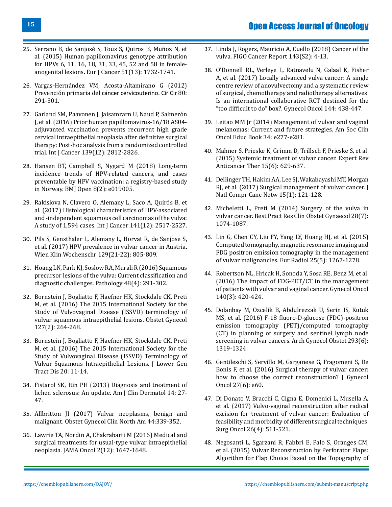- 25. [Serrano B, de Sanjosé S, Tous S, Quiros B, Muñoz N, et](https://www.ncbi.nlm.nih.gov/pubmed/26121913) [al. \(2015\) Human papillomavirus genotype attribution](https://www.ncbi.nlm.nih.gov/pubmed/26121913) [for HPVs 6, 11, 16, 18, 31, 33, 45, 52 and 58 in female](https://www.ncbi.nlm.nih.gov/pubmed/26121913)[anogenital lesions. Eur J Cancer 51\(13\): 1732-1741.](https://www.ncbi.nlm.nih.gov/pubmed/26121913)
- 26. [Vargas-Hernández VM, Acosta-Altamirano G \(2012\)](https://www.medigraphic.com/pdfs/circir/cc-2012/cc123o.pdf) Prevención primaria del [cáncer cervicouterino. Cir Cir](https://www.medigraphic.com/pdfs/circir/cc-2012/cc123o.pdf) 80: [291-301.](https://www.medigraphic.com/pdfs/circir/cc-2012/cc123o.pdf)
- 27. [Garland SM, Paavonen J, Jaisamrarn U, Naud P, Salmerón](https://www.ncbi.nlm.nih.gov/pubmed/27541373) [J, et al. \(2016\) Prior human papillomavirus-16/18 AS04](https://www.ncbi.nlm.nih.gov/pubmed/27541373) [adjuvanted vaccination prevents recurrent high grade](https://www.ncbi.nlm.nih.gov/pubmed/27541373) [cervical intraepithelial neoplasia after definitive surgical](https://www.ncbi.nlm.nih.gov/pubmed/27541373) [therapy: Post-hoc analysis from a randomized controlled](https://www.ncbi.nlm.nih.gov/pubmed/27541373) [trial. Int J Cancer 139\(12\): 2812-2826.](https://www.ncbi.nlm.nih.gov/pubmed/27541373)
- 28. [Hansen BT, Campbell S, Nygard M \(2018\) Long-term](https://www.ncbi.nlm.nih.gov/pubmed/29476028) [incidence trends of HPV-related cancers, and cases](https://www.ncbi.nlm.nih.gov/pubmed/29476028) [preventable by HPV vaccination: a registry-based study](https://www.ncbi.nlm.nih.gov/pubmed/29476028) [in Norway. BMJ Open 8\(2\): e019005.](https://www.ncbi.nlm.nih.gov/pubmed/29476028)
- 29. [Rakislova N, Clavero O, Alemany L, Saco A, Quirós B, et](https://www.ncbi.nlm.nih.gov/pubmed/28815579) [al. \(2017\) Histological characteristics of HPV-associated](https://www.ncbi.nlm.nih.gov/pubmed/28815579) [and -independent squamous cell carcinomas of the vulva:](https://www.ncbi.nlm.nih.gov/pubmed/28815579) [A study of 1,594 cases. Int J Cancer 141\(12\): 2517-2527.](https://www.ncbi.nlm.nih.gov/pubmed/28815579)
- 30. [Pils S, Gensthaler L, Alemany L, Horvat R, de Sanjose S,](https://www.ncbi.nlm.nih.gov/pubmed/28884278) [et al. \(2017\) HPV prevalence in vulvar cancer in Austria.](https://www.ncbi.nlm.nih.gov/pubmed/28884278) [Wien Klin Wochenschr 129\(21-22\): 805-809.](https://www.ncbi.nlm.nih.gov/pubmed/28884278)
- 31. [Hoang LN, Park KJ, Soslow RA, Murali R \(2016\) Squamous](https://www.ncbi.nlm.nih.gov/pubmed/27113549) [precursor lesions of the vulva: Current classification and](https://www.ncbi.nlm.nih.gov/pubmed/27113549) [diagnostic challenges. Pathology 48\(4\): 291-302.](https://www.ncbi.nlm.nih.gov/pubmed/27113549)
- 32. [Bornstein J, Bogliatto F, Haefner HK, Stockdale CK, Preti](https://www.ncbi.nlm.nih.gov/pubmed/26942352) [M, et al. \(2016\) The 2015 International Society for the](https://www.ncbi.nlm.nih.gov/pubmed/26942352) [Study of Vulvovaginal Disease \(ISSVD\) terminology of](https://www.ncbi.nlm.nih.gov/pubmed/26942352) [vulvar squamous intraepithelial lesions. Obstet Gynecol](https://www.ncbi.nlm.nih.gov/pubmed/26942352) [127\(2\): 264-268.](https://www.ncbi.nlm.nih.gov/pubmed/26942352)
- 33. Bornstein J, Bogliatto F, Haefner HK, Stockdale CK, Preti M, et al. (2016) The 2015 International Society for the Study of Vulvovaginal Disease (ISSVD) Terminology of Vulvar Squamous Intraepithelial Lesions. J Lower Gen Tract Dis 20: 11-14.
- 34. [Fistarol SK, Itin PH \(2013\) Diagnosis and treatment of](https://www.ncbi.nlm.nih.gov/pubmed/23329078) [lichen sclerosus: An update. Am J Clin Dermatol 14: 27-](https://www.ncbi.nlm.nih.gov/pubmed/23329078) [47.](https://www.ncbi.nlm.nih.gov/pubmed/23329078)
- 35. [Allbritton JI \(2017\) Vulvar neoplasms, benign and](https://www.ncbi.nlm.nih.gov/pubmed/28778635) [malignant. Obstet Gynecol Clin North Am 44:339-352.](https://www.ncbi.nlm.nih.gov/pubmed/28778635)
- 36. [Lawrie TA, Nordin A, Chakrabarti M \(2016\) Medical and](https://jamanetwork.com/journals/jamaoncology/article-abstract/2542335) [surgical treatments for usual-type vulvar intraepithelial](https://jamanetwork.com/journals/jamaoncology/article-abstract/2542335) [neoplasia. JAMA Oncol 2\(12\): 1647-1648.](https://jamanetwork.com/journals/jamaoncology/article-abstract/2542335)
- 37. [Linda J, Rogers, Mauricio A, Cuello \(2018\) Cancer of the](https://obgyn.onlinelibrary.wiley.com/doi/10.1002/ijgo.12609) [vulva. FIGO Cancer Report 143\(S2\): 4-13.](https://obgyn.onlinelibrary.wiley.com/doi/10.1002/ijgo.12609)
- 38. [O'Donnell RL, Verleye L, Ratnavelu N, Galaal K, Fisher](https://www.ncbi.nlm.nih.gov/pubmed/28034465) [A, et al. \(2017\) Locally advanced vulva cancer: A single](https://www.ncbi.nlm.nih.gov/pubmed/28034465)  [centre review of anovulvectomy and a systematic review](https://www.ncbi.nlm.nih.gov/pubmed/28034465)  [of surgical, chemotherapy and radiotherapy alternatives.](https://www.ncbi.nlm.nih.gov/pubmed/28034465) [Is an international collaborative RCT destined for the](https://www.ncbi.nlm.nih.gov/pubmed/28034465) ["too difficult to do" box?. Gynecol Oncol 144: 438-447.](https://www.ncbi.nlm.nih.gov/pubmed/28034465)
- 39. [Leitao MM Jr \(2014\) Management of vulvar and vaginal](https://www.ncbi.nlm.nih.gov/pubmed/24857113)  [melanomas: Current and future strategies. Am Soc Clin](https://www.ncbi.nlm.nih.gov/pubmed/24857113)  [Oncol Educ Book 34: e277-e281.](https://www.ncbi.nlm.nih.gov/pubmed/24857113)
- 40. [Mahner S, Prieske K, Grimm D, Trillsch F, Prieske S, et al.](https://www.ncbi.nlm.nih.gov/pubmed/25997120)  [\(2015\) Systemic treatment of vulvar cancer. Expert Rev](https://www.ncbi.nlm.nih.gov/pubmed/25997120)  [Anticancer Ther 15\(6\): 629-637.](https://www.ncbi.nlm.nih.gov/pubmed/25997120)
- 41. [Dellinger TH, Hakim AA, Lee SJ, Wakabayashi MT, Morgan](https://www.ncbi.nlm.nih.gov/pubmed/28040722)  [RJ, et al. \(2017\) Surgical management of vulvar cancer. J](https://www.ncbi.nlm.nih.gov/pubmed/28040722)  [Natl Compr Canc Netw 15\(1\): 121-128.](https://www.ncbi.nlm.nih.gov/pubmed/28040722)
- 42. [Micheletti L, Preti M \(2014\) Surgery of the vulva in](https://www.ncbi.nlm.nih.gov/pubmed/25132277) [vulvar cancer. Best Pract Res Clin Obstet Gynaecol 28\(7\):](https://www.ncbi.nlm.nih.gov/pubmed/25132277) [1074-1087.](https://www.ncbi.nlm.nih.gov/pubmed/25132277)
- 43. [Lin G, Chen CY, Liu FY, Yang LY, Huang HJ, et al. \(2015\)](https://www.ncbi.nlm.nih.gov/pubmed/25477274) [Computed tomography, magnetic resonance imaging and](https://www.ncbi.nlm.nih.gov/pubmed/25477274)  [FDG positron emission tomography in the management](https://www.ncbi.nlm.nih.gov/pubmed/25477274)  [of vulvar malignancies. Eur Radiol 25\(5\): 1267-1278.](https://www.ncbi.nlm.nih.gov/pubmed/25477274)
- 44. [Robertson NL, Hricak H, Sonoda Y, Sosa RE, Benz M, et al.](https://www.ncbi.nlm.nih.gov/pubmed/26790773)  [\(2016\) The impact of FDG-PET/CT in the management](https://www.ncbi.nlm.nih.gov/pubmed/26790773)  [of patients with vulvar and vaginal cancer. Gynecol Oncol](https://www.ncbi.nlm.nih.gov/pubmed/26790773)  [140\(3\): 420-424.](https://www.ncbi.nlm.nih.gov/pubmed/26790773)
- 45. [Dolanbay M, Ozcelik B, Abdulrezzak U, Serin IS, Kutuk](https://www.ncbi.nlm.nih.gov/pubmed/26498604)  [MS, et al. \(2016\) F‐18 fluoro‐D‐glucose \(FDG\)‐positron](https://www.ncbi.nlm.nih.gov/pubmed/26498604) [emission tomography \(PET\)/computed tomography](https://www.ncbi.nlm.nih.gov/pubmed/26498604) [\(CT\) in planning of surgery and sentinel lymph node](https://www.ncbi.nlm.nih.gov/pubmed/26498604) [screening in vulvar cancers. Arch Gynecol Obstet 293\(6\):](https://www.ncbi.nlm.nih.gov/pubmed/26498604) [1319-1324.](https://www.ncbi.nlm.nih.gov/pubmed/26498604)
- 46. [Gentileschi S, Servillo M, Garganese G, Fragomeni S, De](https://www.ncbi.nlm.nih.gov/pubmed/27550406)  [Bonis F, et al. \(2016\) Surgical therapy of vulvar cancer:](https://www.ncbi.nlm.nih.gov/pubmed/27550406) [how to choose the correct reconstruction? J Gynecol](https://www.ncbi.nlm.nih.gov/pubmed/27550406)  [Oncol 27\(6\): e60.](https://www.ncbi.nlm.nih.gov/pubmed/27550406)
- 47. [Di Donato V, Bracchi C, Cigna E, Domenici L, Musella A,](https://www.ncbi.nlm.nih.gov/pubmed/29113672)  [et al. \(2017\) Vulvo-vaginal reconstruction after radical](https://www.ncbi.nlm.nih.gov/pubmed/29113672)  [excision for treatment of vulvar cancer: Evaluation of](https://www.ncbi.nlm.nih.gov/pubmed/29113672) [feasibility and morbidity of different surgical techniques.](https://www.ncbi.nlm.nih.gov/pubmed/29113672) [Surg Oncol 26\(4\): 511-521.](https://www.ncbi.nlm.nih.gov/pubmed/29113672)
- 48. [Negosanti L, Sgarzani R, Fabbri E, Palo S, Oranges CM,](https://www.ncbi.nlm.nih.gov/pubmed/26035125)  [et al. \(2015\) Vulvar Reconstruction by Perforator Flaps:](https://www.ncbi.nlm.nih.gov/pubmed/26035125)  [Algorithm for Flap Choice Based on the Topography of](https://www.ncbi.nlm.nih.gov/pubmed/26035125)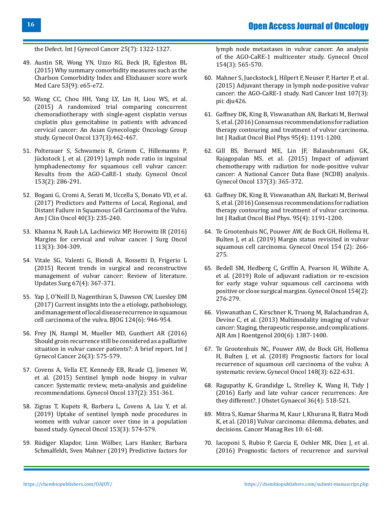[the Defect. Int J Gynecol Cancer 25\(7\): 1322-1327.](https://www.ncbi.nlm.nih.gov/pubmed/26035125)

- 49. [Austin SR, Wong YN, Uzzo RG, Beck JR, Egleston BL](https://www.ncbi.nlm.nih.gov/pubmed/23703645) [\(2015\) Why summary comorbidity measures such as the](https://www.ncbi.nlm.nih.gov/pubmed/23703645) [Charlson Comorbidity Index and Elixhauser score work](https://www.ncbi.nlm.nih.gov/pubmed/23703645) [Med Care 53\(9\): e65-e72.](https://www.ncbi.nlm.nih.gov/pubmed/23703645)
- 50. [Wang CC, Chou HH, Yang LY, Lin H, Liou WS, et al.](https://www.ncbi.nlm.nih.gov/pubmed/25827291) [\(2015\) A randomized trial comparing concurrent](https://www.ncbi.nlm.nih.gov/pubmed/25827291) [chemoradiotherapy with single-agent cisplatin versus](https://www.ncbi.nlm.nih.gov/pubmed/25827291) [cisplatin plus gemcitabine in patients with advanced](https://www.ncbi.nlm.nih.gov/pubmed/25827291) [cervical cancer: An Asian Gynecologic Oncology Group](https://www.ncbi.nlm.nih.gov/pubmed/25827291) [study. Gynecol Oncol 137\(3\):462-467.](https://www.ncbi.nlm.nih.gov/pubmed/25827291)
- 51. [Polterauer S, Schwameis R, Grimm C, Hillemanns P,](https://www.ncbi.nlm.nih.gov/pubmed/30760408) [Jückstock J, et al. \(2019\) Lymph node ratio in inguinal](https://www.ncbi.nlm.nih.gov/pubmed/30760408) [lymphadenectomy for squamous cell vulvar cancer:](https://www.ncbi.nlm.nih.gov/pubmed/30760408) [Results from the AGO-CaRE-1 study. Gynecol Oncol](https://www.ncbi.nlm.nih.gov/pubmed/30760408) [153\(2\): 286-291.](https://www.ncbi.nlm.nih.gov/pubmed/30760408)
- 52. [Bogani G, Cromi A, Serati M, Uccella S, Donato VD, et al.](https://www.ncbi.nlm.nih.gov/pubmed/25503429) [\(2017\) Predictors and Patterns of Local, Regional, and](https://www.ncbi.nlm.nih.gov/pubmed/25503429) [Distant Failure in Squamous Cell Carcinoma of the Vulva.](https://www.ncbi.nlm.nih.gov/pubmed/25503429) [Am J Clin Oncol 40\(3\): 235-240.](https://www.ncbi.nlm.nih.gov/pubmed/25503429)
- 53. [Khanna N, Rauh LA, Lachiewicz MP, Horowitz IR \(2016\)](https://www.ncbi.nlm.nih.gov/pubmed/26852901) [Margins for cervical and vulvar cancer. J Surg Oncol](https://www.ncbi.nlm.nih.gov/pubmed/26852901) [113\(3\): 304-309.](https://www.ncbi.nlm.nih.gov/pubmed/26852901)
- 54. [Vitale SG, Valenti G, Biondi A, Rossetti D, Frigerio L](https://www.ncbi.nlm.nih.gov/pubmed/26070991) [\(2015\) Recent trends in surgical and reconstructive](https://www.ncbi.nlm.nih.gov/pubmed/26070991) [management of vulvar cancer: Review of literature.](https://www.ncbi.nlm.nih.gov/pubmed/26070991) [Updates Surg 67\(4\): 367-371.](https://www.ncbi.nlm.nih.gov/pubmed/26070991)
- 55. [Yap J, O'Neill D, Nagenthiran S, Dawson CW, Luesley DM](https://www.ncbi.nlm.nih.gov/pubmed/28081287) [\(2017\) Current insights into the a etiology, pathobiology,](https://www.ncbi.nlm.nih.gov/pubmed/28081287) [and management of local disease recurrence in squamous](https://www.ncbi.nlm.nih.gov/pubmed/28081287) [cell carcinoma of the vulva. BJOG 124\(6\): 946-954.](https://www.ncbi.nlm.nih.gov/pubmed/28081287)
- 56. [Frey JN, Hampl M, Mueller MD, Gunthert AR \(2016\)](https://www.ncbi.nlm.nih.gov/pubmed/26894938) [Should groin recurrence still be considered as a palliative](https://www.ncbi.nlm.nih.gov/pubmed/26894938) [situation in vulvar cancer patients?: A brief report. Int J](https://www.ncbi.nlm.nih.gov/pubmed/26894938) [Gynecol Cancer 26\(3\): 575-579.](https://www.ncbi.nlm.nih.gov/pubmed/26894938)
- 57. [Covens A, Vella ET, Kennedy EB, Reade CJ, Jimenez W,](https://www.ncbi.nlm.nih.gov/pubmed/25703673) [et al. \(2015\) Sentinel lymph node biopsy in vulvar](https://www.ncbi.nlm.nih.gov/pubmed/25703673) [cancer: Systematic review, meta-analysis and guideline](https://www.ncbi.nlm.nih.gov/pubmed/25703673) [recommendations. Gynecol Oncol 137\(2\): 351-361.](https://www.ncbi.nlm.nih.gov/pubmed/25703673)
- 58. [Zigras T, Kupets R, Barbera L, Covens A, Liu Y, et al.](https://www.ncbi.nlm.nih.gov/pubmed/30876675) [\(2019\) Uptake of sentinel lymph node procedures in](https://www.ncbi.nlm.nih.gov/pubmed/30876675) [women with vulvar cancer over time in a population](https://www.ncbi.nlm.nih.gov/pubmed/30876675) [based study. Gynecol Oncol 153\(3\): 574-579.](https://www.ncbi.nlm.nih.gov/pubmed/30876675)
- 59. [Rüdiger Klapdor, Linn Wölber, Lars Hanker, Barbara](https://www.ncbi.nlm.nih.gov/pubmed/31227222) [Schmalfeldt, Sven Mahner \(2019\) Predictive factors for](https://www.ncbi.nlm.nih.gov/pubmed/31227222)

[lymph node metastases in vulvar cancer. An analysis](https://www.ncbi.nlm.nih.gov/pubmed/31227222) [of the AGO-CaRE-1 multicenter study. Gynecol Oncol](https://www.ncbi.nlm.nih.gov/pubmed/31227222)  [154\(3\): 565-570.](https://www.ncbi.nlm.nih.gov/pubmed/31227222)

- 60. [Mahner S, Jueckstock J, Hilpert F, Neuser P, Harter P, et al.](https://www.ncbi.nlm.nih.gov/pubmed/25618900)  [\(2015\) Adjuvant therapy in lymph node-positive vulvar](https://www.ncbi.nlm.nih.gov/pubmed/25618900) [cancer: the AGO-CaRE-1 study. Natl Cancer Inst 107\(3\):](https://www.ncbi.nlm.nih.gov/pubmed/25618900) [pii: dju426.](https://www.ncbi.nlm.nih.gov/pubmed/25618900)
- 61. [Gaffney DK, King B, Viswanathan AN, Barkati M, Beriwal](https://www.ncbi.nlm.nih.gov/pubmed/27130794)  [S, et al. \(2016\) Consensus recommendations for radiation](https://www.ncbi.nlm.nih.gov/pubmed/27130794) [therapy contouring and treatment of vulvar carcinoma.](https://www.ncbi.nlm.nih.gov/pubmed/27130794) [Int J Radiat Oncol Biol Phys 95\(4\): 1191-1200.](https://www.ncbi.nlm.nih.gov/pubmed/27130794)
- 62. [Gill BS, Bernard ME, Lin JF, Balasubramani GK,](https://www.ncbi.nlm.nih.gov/pubmed/25868965)  [Rajagopalan MS, et al. \(2015\) Impact of adjuvant](https://www.ncbi.nlm.nih.gov/pubmed/25868965)  [chemotherapy with radiation for node-positive vulvar](https://www.ncbi.nlm.nih.gov/pubmed/25868965)  [cancer: A National Cancer Data Base \(NCDB\) analysis.](https://www.ncbi.nlm.nih.gov/pubmed/25868965) [Gynecol Oncol 137\(3\): 365-372.](https://www.ncbi.nlm.nih.gov/pubmed/25868965)
- 63. [Gaffney DK, King B, Viswanathan AN, Barkati M, Beriwal](https://www.ncbi.nlm.nih.gov/pubmed/27130794)  [S, et al. \(2016\) Consensus recommendations for radiation](https://www.ncbi.nlm.nih.gov/pubmed/27130794) [therapy contouring and treatment of vulvar carcinoma.](https://www.ncbi.nlm.nih.gov/pubmed/27130794) [Int J Radiat Oncol Biol Phys. 95\(4\): 1191-1200.](https://www.ncbi.nlm.nih.gov/pubmed/27130794)
- 64. [Te Grootenhuis NC, Pouwer AW, de Bock GH, Hollema H,](https://www.ncbi.nlm.nih.gov/pubmed/31109660) [Bulten J, et al. \(2019\) Margin status revisited in vulvar](https://www.ncbi.nlm.nih.gov/pubmed/31109660)  [squamous cell carcinoma. Gynecol Oncol 154 \(2\): 266-](https://www.ncbi.nlm.nih.gov/pubmed/31109660) [275.](https://www.ncbi.nlm.nih.gov/pubmed/31109660)
- 65. [Bedell SM, Hedberg C, Griffin A, Pearson H, Wilhite A,](https://www.ncbi.nlm.nih.gov/pubmed/31171409)  [et al. \(2019\) Role of adjuvant radiation or re-excision](https://www.ncbi.nlm.nih.gov/pubmed/31171409) [for early stage vulvar squamous cell carcinoma with](https://www.ncbi.nlm.nih.gov/pubmed/31171409)  [positive or close surgical margins. Gynecol Oncol 154\(2\):](https://www.ncbi.nlm.nih.gov/pubmed/31171409) [276-279.](https://www.ncbi.nlm.nih.gov/pubmed/31171409)
- 66. [Viswanathan C, Kirschner K, Truong M, Balachandran A,](https://www.ncbi.nlm.nih.gov/pubmed/23701080)  [Devine C, et al. \(2013\) Multimodality imaging of vulvar](https://www.ncbi.nlm.nih.gov/pubmed/23701080) [cancer: Staging, therapeutic response, and complications.](https://www.ncbi.nlm.nih.gov/pubmed/23701080)  [AJR Am J Roentgenol 200\(6\): 1387-1400.](https://www.ncbi.nlm.nih.gov/pubmed/23701080)
- 67. [Te Grootenhuis NC, Pouwer AW, de Bock GH, Hollema](https://www.ncbi.nlm.nih.gov/pubmed/29137809)  [H, Bulten J, et al. \(2018\) Prognostic factors for local](https://www.ncbi.nlm.nih.gov/pubmed/29137809)  [recurrence of squamous cell carcinoma of the vulva: A](https://www.ncbi.nlm.nih.gov/pubmed/29137809)  [systematic review. Gynecol Oncol 148\(3\): 622-631.](https://www.ncbi.nlm.nih.gov/pubmed/29137809)
- 68. [Ragupathy K, Grandidge L, Strelley K, Wang H, Tidy J](https://www.ncbi.nlm.nih.gov/pubmed/26800292) [\(2016\) Early and late vulvar cancer recurrences: Are](https://www.ncbi.nlm.nih.gov/pubmed/26800292) [they different?. J Obstet Gynaecol 36\(4\): 518-521.](https://www.ncbi.nlm.nih.gov/pubmed/26800292)
- 69. [Mitra S, Kumar Sharma M, Kaur I, Khurana R, Batra Modi](https://www.ncbi.nlm.nih.gov/pubmed/29386916)  [K, et al. \(2018\) Vulvar carcinoma: dilemma, debates, and](https://www.ncbi.nlm.nih.gov/pubmed/29386916) [decisions. Cancer Manag Res 10: 61-68.](https://www.ncbi.nlm.nih.gov/pubmed/29386916)
- 70. [Iacoponi S, Rubio P, Garcia E, Oehler MK, Diez J, et al.](https://www.ncbi.nlm.nih.gov/pubmed/27465889)  [\(2016\) Prognostic factors of recurrence and survival](https://www.ncbi.nlm.nih.gov/pubmed/27465889)